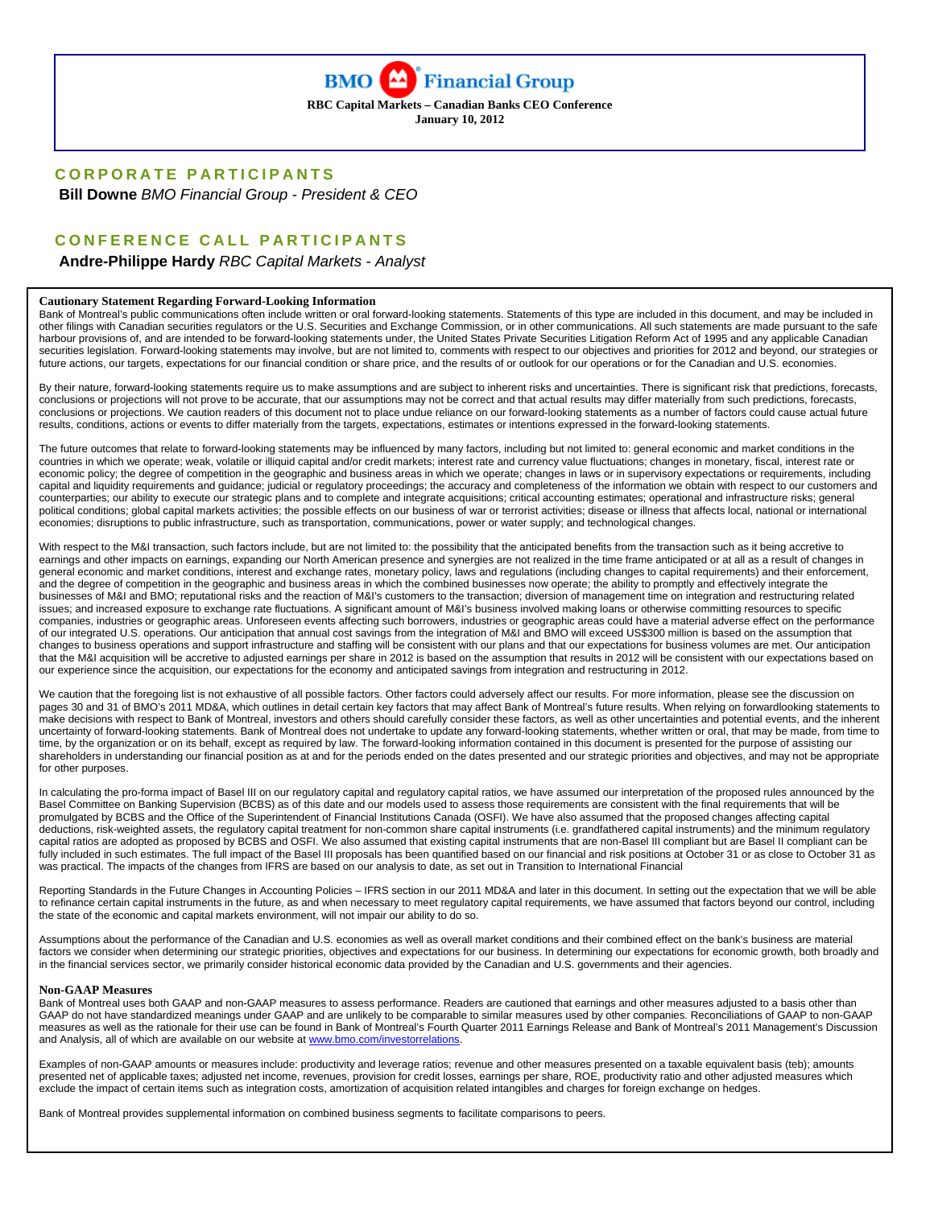

**RBC Capital Markets – Canadian Banks CEO Conference January 10, 2012** 

#### **CORPORATE PARTICIPANTS**

 **Bill Downe** *BMO Financial Group - President & CEO* 

# **CONFERENCE CALL PARTICIPANTS**

 **Andre-Philippe Hardy** *RBC Capital Markets - Analyst* 

#### **Cautionary Statement Regarding Forward-Looking Information**

Bank of Montreal's public communications often include written or oral forward-looking statements. Statements of this type are included in this document, and may be included in other filings with Canadian securities regulators or the U.S. Securities and Exchange Commission, or in other communications. All such statements are made pursuant to the safe harbour provisions of, and are intended to be forward-looking statements under, the United States Private Securities Litigation Reform Act of 1995 and any applicable Canadian securities legislation. Forward-looking statements may involve, but are not limited to, comments with respect to our objectives and priorities for 2012 and beyond, our strategies or future actions, our targets, expectations for our financial condition or share price, and the results of or outlook for our operations or for the Canadian and U.S. economies.

By their nature, forward-looking statements require us to make assumptions and are subject to inherent risks and uncertainties. There is significant risk that predictions, forecasts, conclusions or projections will not prove to be accurate, that our assumptions may not be correct and that actual results may differ materially from such predictions, forecasts, conclusions or projections. We caution readers of this document not to place undue reliance on our forward-looking statements as a number of factors could cause actual future results, conditions, actions or events to differ materially from the targets, expectations, estimates or intentions expressed in the forward-looking statements.

The future outcomes that relate to forward-looking statements may be influenced by many factors, including but not limited to: general economic and market conditions in the countries in which we operate; weak, volatile or illiquid capital and/or credit markets; interest rate and currency value fluctuations; changes in monetary, fiscal, interest rate or economic policy; the degree of competition in the geographic and business areas in which we operate; changes in laws or in supervisory expectations or requirements, including capital and liquidity requirements and guidance; judicial or regulatory proceedings; the accuracy and completeness of the information we obtain with respect to our customers and counterparties; our ability to execute our strategic plans and to complete and integrate acquisitions; critical accounting estimates; operational and infrastructure risks; general political conditions; global capital markets activities; the possible effects on our business of war or terrorist activities; disease or illness that affects local, national or international economies; disruptions to public infrastructure, such as transportation, communications, power or water supply; and technological changes.

With respect to the M&I transaction, such factors include, but are not limited to: the possibility that the anticipated benefits from the transaction such as it being accretive to earnings and other impacts on earnings, expanding our North American presence and synergies are not realized in the time frame anticipated or at all as a result of changes in general economic and market conditions, interest and exchange rates, monetary policy, laws and regulations (including changes to capital requirements) and their enforcement, and the degree of competition in the geographic and business areas in which the combined businesses now operate; the ability to promptly and effectively integrate the businesses of M&I and BMO; reputational risks and the reaction of M&I's customers to the transaction; diversion of management time on integration and restructuring related issues; and increased exposure to exchange rate fluctuations. A significant amount of M&I's business involved making loans or otherwise committing resources to specific companies, industries or geographic areas. Unforeseen events affecting such borrowers, industries or geographic areas could have a material adverse effect on the performance of our integrated U.S. operations. Our anticipation that annual cost savings from the integration of M&I and BMO will exceed US\$300 million is based on the assumption that changes to business operations and support infrastructure and staffing will be consistent with our plans and that our expectations for business volumes are met. Our anticipation that the M&I acquisition will be accretive to adjusted earnings per share in 2012 is based on the assumption that results in 2012 will be consistent with our expectations based on our experience since the acquisition, our expectations for the economy and anticipated savings from integration and restructuring in 2012.

We caution that the foregoing list is not exhaustive of all possible factors. Other factors could adversely affect our results. For more information, please see the discussion on pages 30 and 31 of BMO's 2011 MD&A, which outlines in detail certain key factors that may affect Bank of Montreal's future results. When relying on forwardlooking statements to make decisions with respect to Bank of Montreal, investors and others should carefully consider these factors, as well as other uncertainties and potential events, and the inherent uncertainty of forward-looking statements. Bank of Montreal does not undertake to update any forward-looking statements, whether written or oral, that may be made, from time to time, by the organization or on its behalf, except as required by law. The forward-looking information contained in this document is presented for the purpose of assisting our shareholders in understanding our financial position as at and for the periods ended on the dates presented and our strategic priorities and objectives, and may not be appropriate for other purposes.

In calculating the pro-forma impact of Basel III on our regulatory capital and regulatory capital ratios, we have assumed our interpretation of the proposed rules announced by the Basel Committee on Banking Supervision (BCBS) as of this date and our models used to assess those requirements are consistent with the final requirements that will be promulgated by BCBS and the Office of the Superintendent of Financial Institutions Canada (OSFI). We have also assumed that the proposed changes affecting capital deductions, risk-weighted assets, the regulatory capital treatment for non-common share capital instruments (i.e. grandfathered capital instruments) and the minimum regulatory capital ratios are adopted as proposed by BCBS and OSFI. We also assumed that existing capital instruments that are non-Basel III compliant but are Basel II compliant can be fully included in such estimates. The full impact of the Basel III proposals has been quantified based on our financial and risk positions at October 31 or as close to October 31 as was practical. The impacts of the changes from IFRS are based on our analysis to date, as set out in Transition to International Financial

Reporting Standards in the Future Changes in Accounting Policies – IFRS section in our 2011 MD&A and later in this document. In setting out the expectation that we will be able to refinance certain capital instruments in the future, as and when necessary to meet regulatory capital requirements, we have assumed that factors beyond our control, including the state of the economic and capital markets environment, will not impair our ability to do so.

Assumptions about the performance of the Canadian and U.S. economies as well as overall market conditions and their combined effect on the bank's business are material factors we consider when determining our strategic priorities, objectives and expectations for our business. In determining our expectations for economic growth, both broadly and in the financial services sector, we primarily consider historical economic data provided by the Canadian and U.S. governments and their agencies.

#### **Non-GAAP Measures**

Bank of Montreal uses both GAAP and non-GAAP measures to assess performance. Readers are cautioned that earnings and other measures adjusted to a basis other than GAAP do not have standardized meanings under GAAP and are unlikely to be comparable to similar measures used by other companies. Reconciliations of GAAP to non-GAAP measures as well as the rationale for their use can be found in Bank of Montreal's Fourth Quarter 2011 Earnings Release and Bank of Montreal's 2011 Management's Discussion and Analysis, all of which are available on our website at www.bmo.com/investorrelations.

Examples of non-GAAP amounts or measures include: productivity and leverage ratios; revenue and other measures presented on a taxable equivalent basis (teb); amounts presented net of applicable taxes; adjusted net income, revenues, provision for credit losses, earnings per share, ROE, productivity ratio and other adjusted measures which exclude the impact of certain items such as integration costs, amortization of acquisition related intangibles and charges for foreign exchange on hedges.

Bank of Montreal provides supplemental information on combined business segments to facilitate comparisons to peers.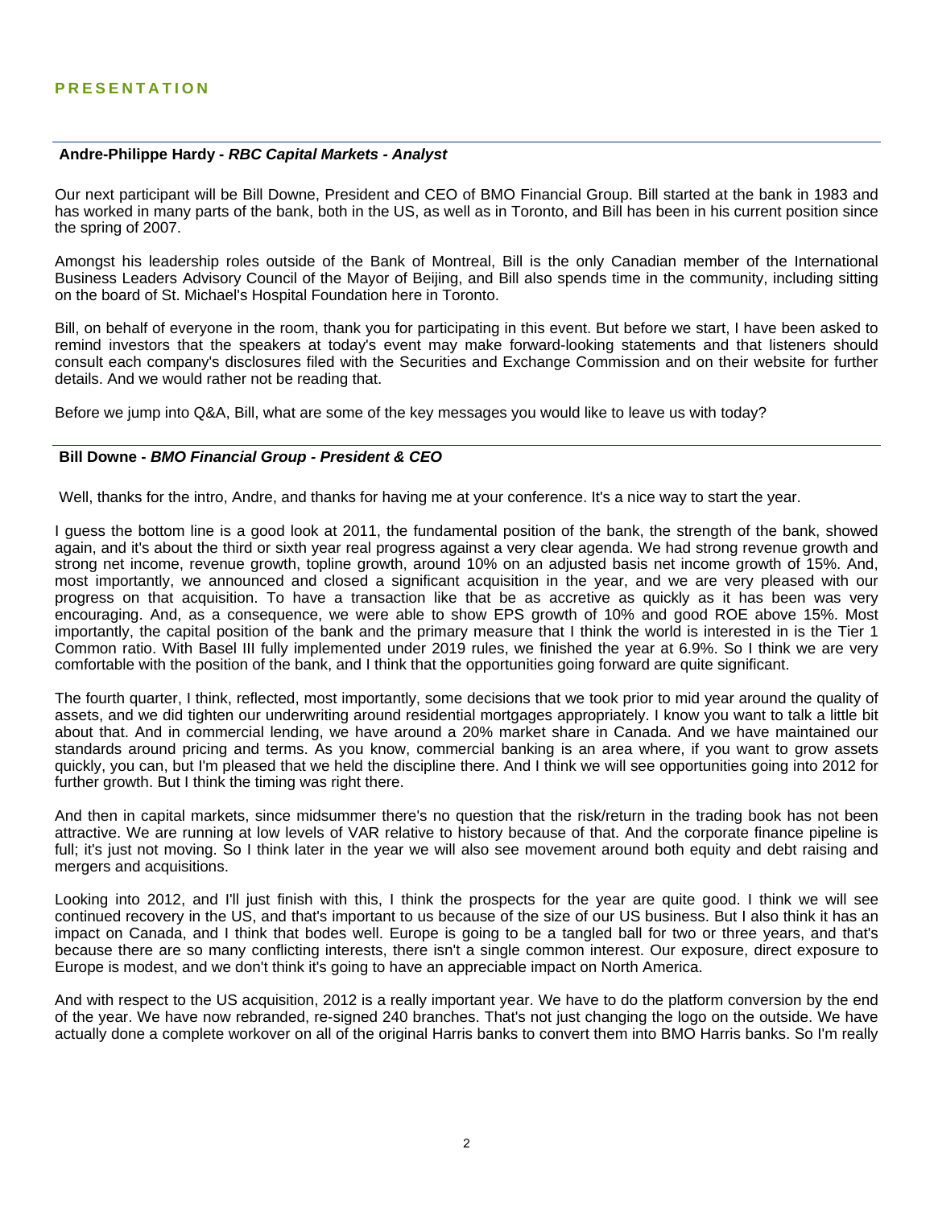#### **Andre-Philippe Hardy -** *RBC Capital Markets - Analyst*

Our next participant will be Bill Downe, President and CEO of BMO Financial Group. Bill started at the bank in 1983 and has worked in many parts of the bank, both in the US, as well as in Toronto, and Bill has been in his current position since the spring of 2007.

Amongst his leadership roles outside of the Bank of Montreal, Bill is the only Canadian member of the International Business Leaders Advisory Council of the Mayor of Beijing, and Bill also spends time in the community, including sitting on the board of St. Michael's Hospital Foundation here in Toronto.

Bill, on behalf of everyone in the room, thank you for participating in this event. But before we start, I have been asked to remind investors that the speakers at today's event may make forward-looking statements and that listeners should consult each company's disclosures filed with the Securities and Exchange Commission and on their website for further details. And we would rather not be reading that.

Before we jump into Q&A, Bill, what are some of the key messages you would like to leave us with today?

## **Bill Downe -** *BMO Financial Group - President & CEO*

Well, thanks for the intro, Andre, and thanks for having me at your conference. It's a nice way to start the year.

I guess the bottom line is a good look at 2011, the fundamental position of the bank, the strength of the bank, showed again, and it's about the third or sixth year real progress against a very clear agenda. We had strong revenue growth and strong net income, revenue growth, topline growth, around 10% on an adjusted basis net income growth of 15%. And, most importantly, we announced and closed a significant acquisition in the year, and we are very pleased with our progress on that acquisition. To have a transaction like that be as accretive as quickly as it has been was very encouraging. And, as a consequence, we were able to show EPS growth of 10% and good ROE above 15%. Most importantly, the capital position of the bank and the primary measure that I think the world is interested in is the Tier 1 Common ratio. With Basel III fully implemented under 2019 rules, we finished the year at 6.9%. So I think we are very comfortable with the position of the bank, and I think that the opportunities going forward are quite significant.

The fourth quarter, I think, reflected, most importantly, some decisions that we took prior to mid year around the quality of assets, and we did tighten our underwriting around residential mortgages appropriately. I know you want to talk a little bit about that. And in commercial lending, we have around a 20% market share in Canada. And we have maintained our standards around pricing and terms. As you know, commercial banking is an area where, if you want to grow assets quickly, you can, but I'm pleased that we held the discipline there. And I think we will see opportunities going into 2012 for further growth. But I think the timing was right there.

And then in capital markets, since midsummer there's no question that the risk/return in the trading book has not been attractive. We are running at low levels of VAR relative to history because of that. And the corporate finance pipeline is full; it's just not moving. So I think later in the year we will also see movement around both equity and debt raising and mergers and acquisitions.

Looking into 2012, and I'll just finish with this, I think the prospects for the year are quite good. I think we will see continued recovery in the US, and that's important to us because of the size of our US business. But I also think it has an impact on Canada, and I think that bodes well. Europe is going to be a tangled ball for two or three years, and that's because there are so many conflicting interests, there isn't a single common interest. Our exposure, direct exposure to Europe is modest, and we don't think it's going to have an appreciable impact on North America.

And with respect to the US acquisition, 2012 is a really important year. We have to do the platform conversion by the end of the year. We have now rebranded, re-signed 240 branches. That's not just changing the logo on the outside. We have actually done a complete workover on all of the original Harris banks to convert them into BMO Harris banks. So I'm really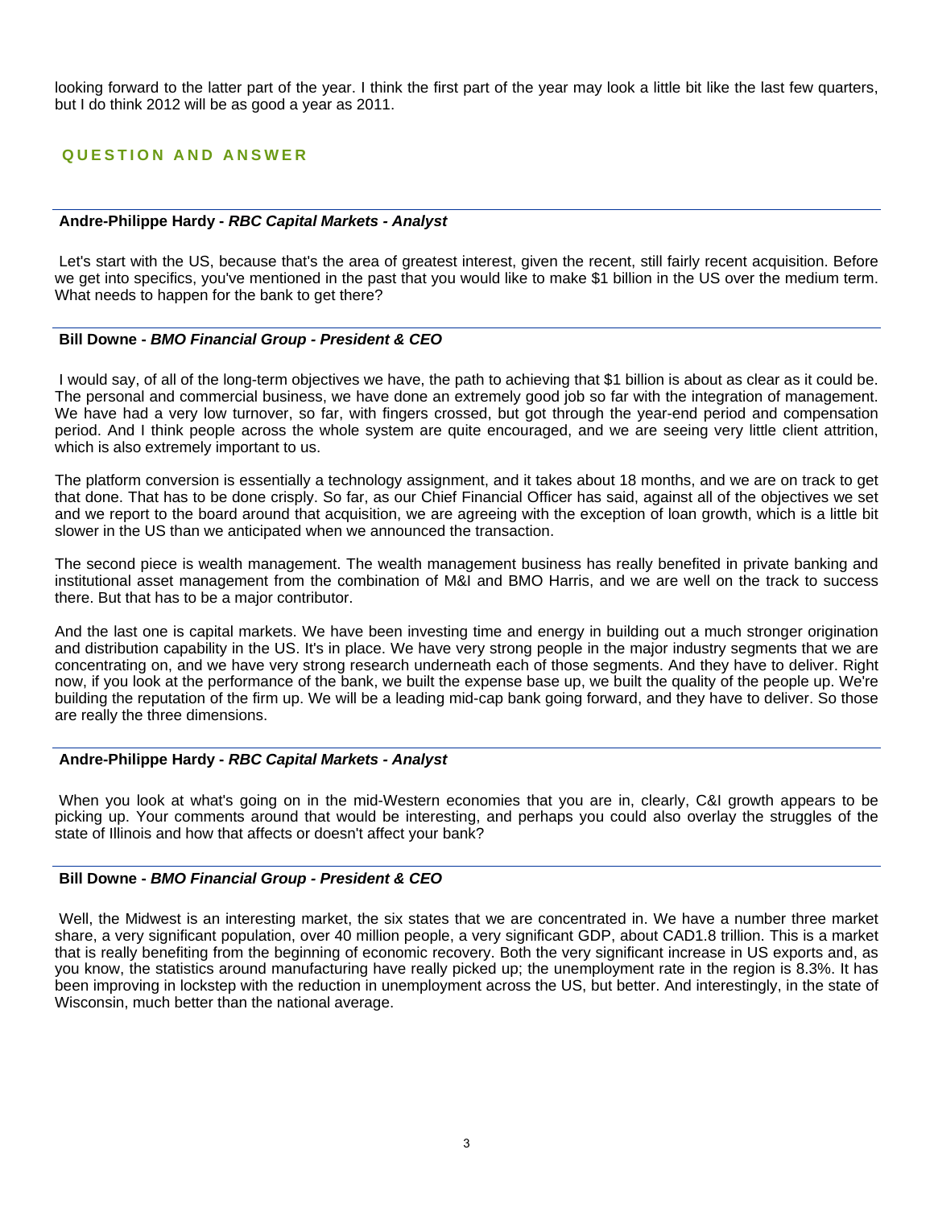looking forward to the latter part of the year. I think the first part of the year may look a little bit like the last few quarters, but I do think 2012 will be as good a year as 2011.

# **QUESTION AND ANSWER**

#### **Andre-Philippe Hardy -** *RBC Capital Markets - Analyst*

 Let's start with the US, because that's the area of greatest interest, given the recent, still fairly recent acquisition. Before we get into specifics, you've mentioned in the past that you would like to make \$1 billion in the US over the medium term. What needs to happen for the bank to get there?

## **Bill Downe -** *BMO Financial Group - President & CEO*

 I would say, of all of the long-term objectives we have, the path to achieving that \$1 billion is about as clear as it could be. The personal and commercial business, we have done an extremely good job so far with the integration of management. We have had a very low turnover, so far, with fingers crossed, but got through the year-end period and compensation period. And I think people across the whole system are quite encouraged, and we are seeing very little client attrition, which is also extremely important to us.

The platform conversion is essentially a technology assignment, and it takes about 18 months, and we are on track to get that done. That has to be done crisply. So far, as our Chief Financial Officer has said, against all of the objectives we set and we report to the board around that acquisition, we are agreeing with the exception of loan growth, which is a little bit slower in the US than we anticipated when we announced the transaction.

The second piece is wealth management. The wealth management business has really benefited in private banking and institutional asset management from the combination of M&I and BMO Harris, and we are well on the track to success there. But that has to be a major contributor.

And the last one is capital markets. We have been investing time and energy in building out a much stronger origination and distribution capability in the US. It's in place. We have very strong people in the major industry segments that we are concentrating on, and we have very strong research underneath each of those segments. And they have to deliver. Right now, if you look at the performance of the bank, we built the expense base up, we built the quality of the people up. We're building the reputation of the firm up. We will be a leading mid-cap bank going forward, and they have to deliver. So those are really the three dimensions.

## **Andre-Philippe Hardy -** *RBC Capital Markets - Analyst*

 When you look at what's going on in the mid-Western economies that you are in, clearly, C&I growth appears to be picking up. Your comments around that would be interesting, and perhaps you could also overlay the struggles of the state of Illinois and how that affects or doesn't affect your bank?

## **Bill Downe -** *BMO Financial Group - President & CEO*

 Well, the Midwest is an interesting market, the six states that we are concentrated in. We have a number three market share, a very significant population, over 40 million people, a very significant GDP, about CAD1.8 trillion. This is a market that is really benefiting from the beginning of economic recovery. Both the very significant increase in US exports and, as you know, the statistics around manufacturing have really picked up; the unemployment rate in the region is 8.3%. It has been improving in lockstep with the reduction in unemployment across the US, but better. And interestingly, in the state of Wisconsin, much better than the national average.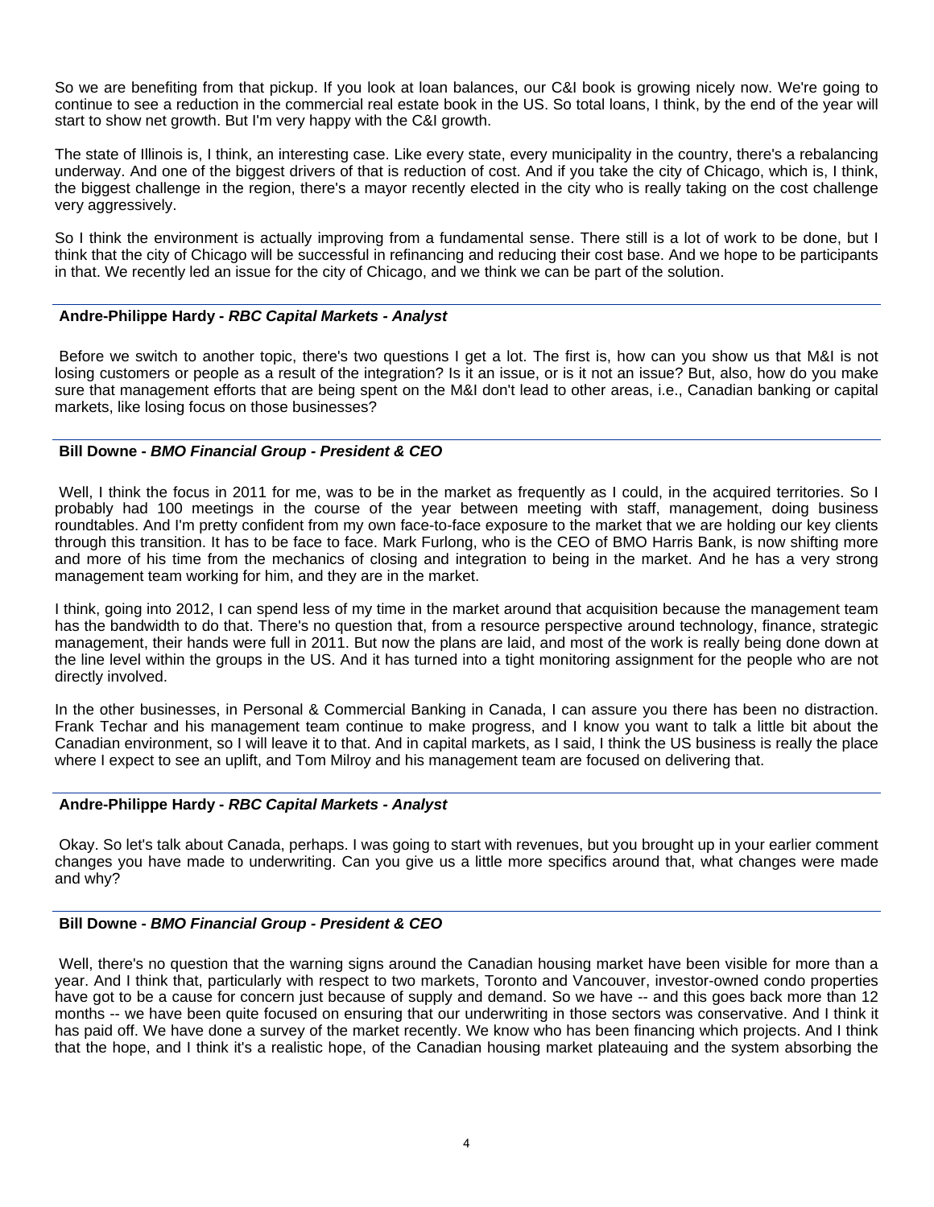So we are benefiting from that pickup. If you look at loan balances, our C&I book is growing nicely now. We're going to continue to see a reduction in the commercial real estate book in the US. So total loans, I think, by the end of the year will start to show net growth. But I'm very happy with the C&I growth.

The state of Illinois is, I think, an interesting case. Like every state, every municipality in the country, there's a rebalancing underway. And one of the biggest drivers of that is reduction of cost. And if you take the city of Chicago, which is, I think, the biggest challenge in the region, there's a mayor recently elected in the city who is really taking on the cost challenge very aggressively.

So I think the environment is actually improving from a fundamental sense. There still is a lot of work to be done, but I think that the city of Chicago will be successful in refinancing and reducing their cost base. And we hope to be participants in that. We recently led an issue for the city of Chicago, and we think we can be part of the solution.

# **Andre-Philippe Hardy -** *RBC Capital Markets - Analyst*

 Before we switch to another topic, there's two questions I get a lot. The first is, how can you show us that M&I is not losing customers or people as a result of the integration? Is it an issue, or is it not an issue? But, also, how do you make sure that management efforts that are being spent on the M&I don't lead to other areas, i.e., Canadian banking or capital markets, like losing focus on those businesses?

# **Bill Downe -** *BMO Financial Group - President & CEO*

 Well, I think the focus in 2011 for me, was to be in the market as frequently as I could, in the acquired territories. So I probably had 100 meetings in the course of the year between meeting with staff, management, doing business roundtables. And I'm pretty confident from my own face-to-face exposure to the market that we are holding our key clients through this transition. It has to be face to face. Mark Furlong, who is the CEO of BMO Harris Bank, is now shifting more and more of his time from the mechanics of closing and integration to being in the market. And he has a very strong management team working for him, and they are in the market.

I think, going into 2012, I can spend less of my time in the market around that acquisition because the management team has the bandwidth to do that. There's no question that, from a resource perspective around technology, finance, strategic management, their hands were full in 2011. But now the plans are laid, and most of the work is really being done down at the line level within the groups in the US. And it has turned into a tight monitoring assignment for the people who are not directly involved.

In the other businesses, in Personal & Commercial Banking in Canada, I can assure you there has been no distraction. Frank Techar and his management team continue to make progress, and I know you want to talk a little bit about the Canadian environment, so I will leave it to that. And in capital markets, as I said, I think the US business is really the place where I expect to see an uplift, and Tom Milroy and his management team are focused on delivering that.

## **Andre-Philippe Hardy -** *RBC Capital Markets - Analyst*

 Okay. So let's talk about Canada, perhaps. I was going to start with revenues, but you brought up in your earlier comment changes you have made to underwriting. Can you give us a little more specifics around that, what changes were made and why?

# **Bill Downe -** *BMO Financial Group - President & CEO*

 Well, there's no question that the warning signs around the Canadian housing market have been visible for more than a year. And I think that, particularly with respect to two markets, Toronto and Vancouver, investor-owned condo properties have got to be a cause for concern just because of supply and demand. So we have -- and this goes back more than 12 months -- we have been quite focused on ensuring that our underwriting in those sectors was conservative. And I think it has paid off. We have done a survey of the market recently. We know who has been financing which projects. And I think that the hope, and I think it's a realistic hope, of the Canadian housing market plateauing and the system absorbing the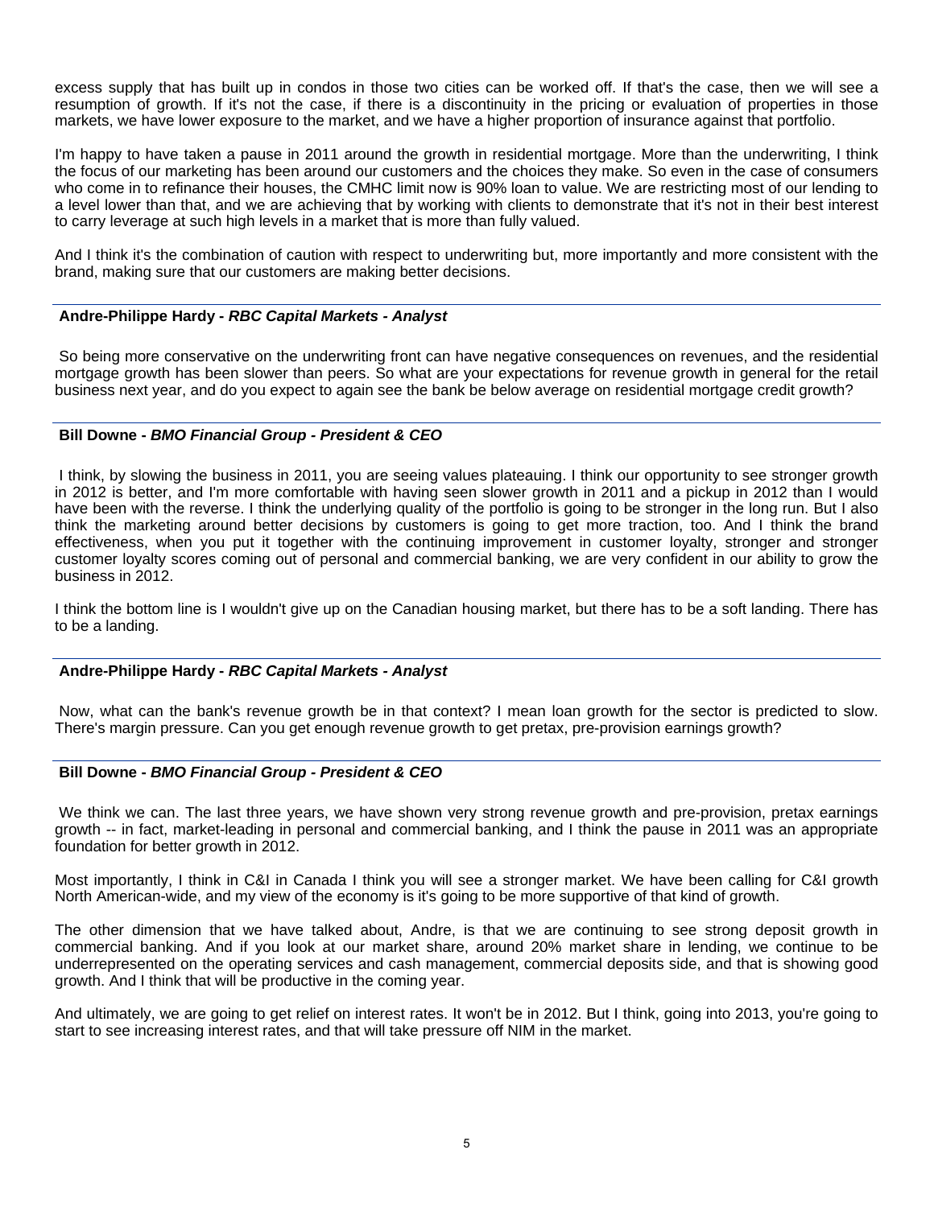excess supply that has built up in condos in those two cities can be worked off. If that's the case, then we will see a resumption of growth. If it's not the case, if there is a discontinuity in the pricing or evaluation of properties in those markets, we have lower exposure to the market, and we have a higher proportion of insurance against that portfolio.

I'm happy to have taken a pause in 2011 around the growth in residential mortgage. More than the underwriting, I think the focus of our marketing has been around our customers and the choices they make. So even in the case of consumers who come in to refinance their houses, the CMHC limit now is 90% loan to value. We are restricting most of our lending to a level lower than that, and we are achieving that by working with clients to demonstrate that it's not in their best interest to carry leverage at such high levels in a market that is more than fully valued.

And I think it's the combination of caution with respect to underwriting but, more importantly and more consistent with the brand, making sure that our customers are making better decisions.

# **Andre-Philippe Hardy -** *RBC Capital Markets - Analyst*

 So being more conservative on the underwriting front can have negative consequences on revenues, and the residential mortgage growth has been slower than peers. So what are your expectations for revenue growth in general for the retail business next year, and do you expect to again see the bank be below average on residential mortgage credit growth?

# **Bill Downe -** *BMO Financial Group - President & CEO*

 I think, by slowing the business in 2011, you are seeing values plateauing. I think our opportunity to see stronger growth in 2012 is better, and I'm more comfortable with having seen slower growth in 2011 and a pickup in 2012 than I would have been with the reverse. I think the underlying quality of the portfolio is going to be stronger in the long run. But I also think the marketing around better decisions by customers is going to get more traction, too. And I think the brand effectiveness, when you put it together with the continuing improvement in customer loyalty, stronger and stronger customer loyalty scores coming out of personal and commercial banking, we are very confident in our ability to grow the business in 2012.

I think the bottom line is I wouldn't give up on the Canadian housing market, but there has to be a soft landing. There has to be a landing.

# **Andre-Philippe Hardy -** *RBC Capital Markets - Analyst*

 Now, what can the bank's revenue growth be in that context? I mean loan growth for the sector is predicted to slow. There's margin pressure. Can you get enough revenue growth to get pretax, pre-provision earnings growth?

## **Bill Downe -** *BMO Financial Group - President & CEO*

 We think we can. The last three years, we have shown very strong revenue growth and pre-provision, pretax earnings growth -- in fact, market-leading in personal and commercial banking, and I think the pause in 2011 was an appropriate foundation for better growth in 2012.

Most importantly, I think in C&I in Canada I think you will see a stronger market. We have been calling for C&I growth North American-wide, and my view of the economy is it's going to be more supportive of that kind of growth.

The other dimension that we have talked about, Andre, is that we are continuing to see strong deposit growth in commercial banking. And if you look at our market share, around 20% market share in lending, we continue to be underrepresented on the operating services and cash management, commercial deposits side, and that is showing good growth. And I think that will be productive in the coming year.

And ultimately, we are going to get relief on interest rates. It won't be in 2012. But I think, going into 2013, you're going to start to see increasing interest rates, and that will take pressure off NIM in the market.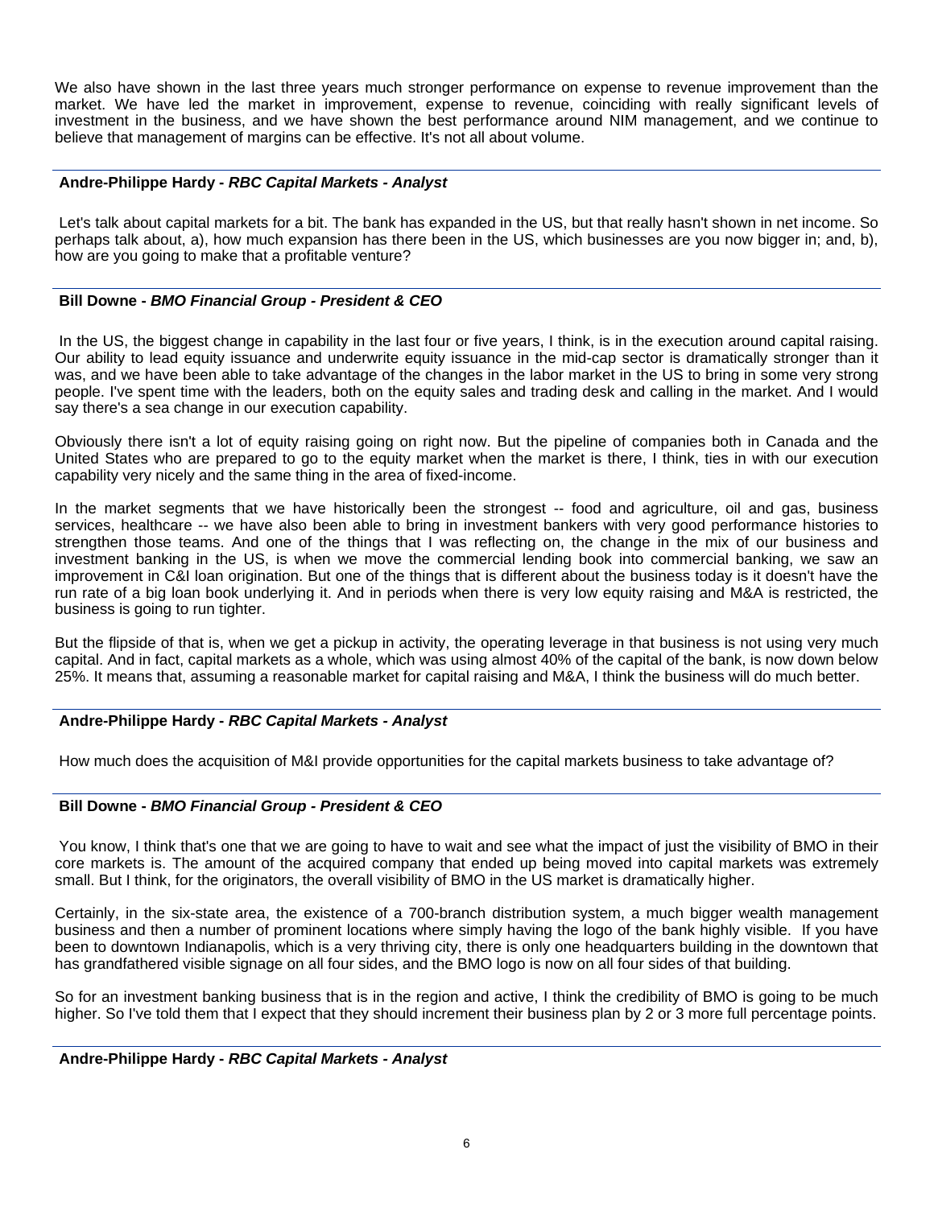We also have shown in the last three years much stronger performance on expense to revenue improvement than the market. We have led the market in improvement, expense to revenue, coinciding with really significant levels of investment in the business, and we have shown the best performance around NIM management, and we continue to believe that management of margins can be effective. It's not all about volume.

# **Andre-Philippe Hardy -** *RBC Capital Markets - Analyst*

 Let's talk about capital markets for a bit. The bank has expanded in the US, but that really hasn't shown in net income. So perhaps talk about, a), how much expansion has there been in the US, which businesses are you now bigger in; and, b), how are you going to make that a profitable venture?

# **Bill Downe -** *BMO Financial Group - President & CEO*

 In the US, the biggest change in capability in the last four or five years, I think, is in the execution around capital raising. Our ability to lead equity issuance and underwrite equity issuance in the mid-cap sector is dramatically stronger than it was, and we have been able to take advantage of the changes in the labor market in the US to bring in some very strong people. I've spent time with the leaders, both on the equity sales and trading desk and calling in the market. And I would say there's a sea change in our execution capability.

Obviously there isn't a lot of equity raising going on right now. But the pipeline of companies both in Canada and the United States who are prepared to go to the equity market when the market is there, I think, ties in with our execution capability very nicely and the same thing in the area of fixed-income.

In the market segments that we have historically been the strongest -- food and agriculture, oil and gas, business services, healthcare -- we have also been able to bring in investment bankers with very good performance histories to strengthen those teams. And one of the things that I was reflecting on, the change in the mix of our business and investment banking in the US, is when we move the commercial lending book into commercial banking, we saw an improvement in C&I loan origination. But one of the things that is different about the business today is it doesn't have the run rate of a big loan book underlying it. And in periods when there is very low equity raising and M&A is restricted, the business is going to run tighter.

But the flipside of that is, when we get a pickup in activity, the operating leverage in that business is not using very much capital. And in fact, capital markets as a whole, which was using almost 40% of the capital of the bank, is now down below 25%. It means that, assuming a reasonable market for capital raising and M&A, I think the business will do much better.

# **Andre-Philippe Hardy -** *RBC Capital Markets - Analyst*

How much does the acquisition of M&I provide opportunities for the capital markets business to take advantage of?

## **Bill Downe -** *BMO Financial Group - President & CEO*

 You know, I think that's one that we are going to have to wait and see what the impact of just the visibility of BMO in their core markets is. The amount of the acquired company that ended up being moved into capital markets was extremely small. But I think, for the originators, the overall visibility of BMO in the US market is dramatically higher.

Certainly, in the six-state area, the existence of a 700-branch distribution system, a much bigger wealth management business and then a number of prominent locations where simply having the logo of the bank highly visible. If you have been to downtown Indianapolis, which is a very thriving city, there is only one headquarters building in the downtown that has grandfathered visible signage on all four sides, and the BMO logo is now on all four sides of that building.

So for an investment banking business that is in the region and active, I think the credibility of BMO is going to be much higher. So I've told them that I expect that they should increment their business plan by 2 or 3 more full percentage points.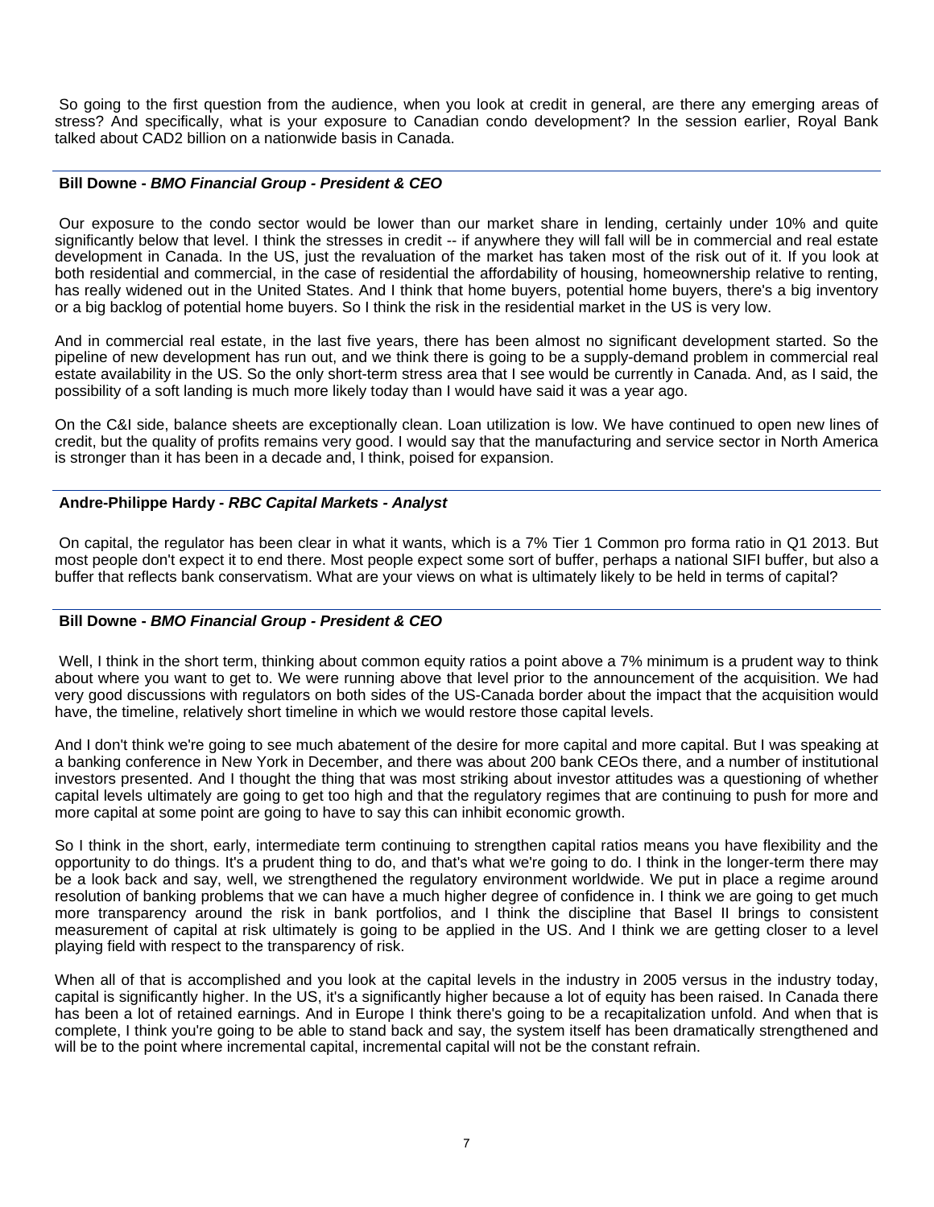So going to the first question from the audience, when you look at credit in general, are there any emerging areas of stress? And specifically, what is your exposure to Canadian condo development? In the session earlier, Royal Bank talked about CAD2 billion on a nationwide basis in Canada.

## **Bill Downe -** *BMO Financial Group - President & CEO*

 Our exposure to the condo sector would be lower than our market share in lending, certainly under 10% and quite significantly below that level. I think the stresses in credit -- if anywhere they will fall will be in commercial and real estate development in Canada. In the US, just the revaluation of the market has taken most of the risk out of it. If you look at both residential and commercial, in the case of residential the affordability of housing, homeownership relative to renting, has really widened out in the United States. And I think that home buyers, potential home buyers, there's a big inventory or a big backlog of potential home buyers. So I think the risk in the residential market in the US is very low.

And in commercial real estate, in the last five years, there has been almost no significant development started. So the pipeline of new development has run out, and we think there is going to be a supply-demand problem in commercial real estate availability in the US. So the only short-term stress area that I see would be currently in Canada. And, as I said, the possibility of a soft landing is much more likely today than I would have said it was a year ago.

On the C&I side, balance sheets are exceptionally clean. Loan utilization is low. We have continued to open new lines of credit, but the quality of profits remains very good. I would say that the manufacturing and service sector in North America is stronger than it has been in a decade and, I think, poised for expansion.

# **Andre-Philippe Hardy -** *RBC Capital Markets - Analyst*

 On capital, the regulator has been clear in what it wants, which is a 7% Tier 1 Common pro forma ratio in Q1 2013. But most people don't expect it to end there. Most people expect some sort of buffer, perhaps a national SIFI buffer, but also a buffer that reflects bank conservatism. What are your views on what is ultimately likely to be held in terms of capital?

# **Bill Downe -** *BMO Financial Group - President & CEO*

Well, I think in the short term, thinking about common equity ratios a point above a 7% minimum is a prudent way to think about where you want to get to. We were running above that level prior to the announcement of the acquisition. We had very good discussions with regulators on both sides of the US-Canada border about the impact that the acquisition would have, the timeline, relatively short timeline in which we would restore those capital levels.

And I don't think we're going to see much abatement of the desire for more capital and more capital. But I was speaking at a banking conference in New York in December, and there was about 200 bank CEOs there, and a number of institutional investors presented. And I thought the thing that was most striking about investor attitudes was a questioning of whether capital levels ultimately are going to get too high and that the regulatory regimes that are continuing to push for more and more capital at some point are going to have to say this can inhibit economic growth.

So I think in the short, early, intermediate term continuing to strengthen capital ratios means you have flexibility and the opportunity to do things. It's a prudent thing to do, and that's what we're going to do. I think in the longer-term there may be a look back and say, well, we strengthened the regulatory environment worldwide. We put in place a regime around resolution of banking problems that we can have a much higher degree of confidence in. I think we are going to get much more transparency around the risk in bank portfolios, and I think the discipline that Basel II brings to consistent measurement of capital at risk ultimately is going to be applied in the US. And I think we are getting closer to a level playing field with respect to the transparency of risk.

When all of that is accomplished and you look at the capital levels in the industry in 2005 versus in the industry today, capital is significantly higher. In the US, it's a significantly higher because a lot of equity has been raised. In Canada there has been a lot of retained earnings. And in Europe I think there's going to be a recapitalization unfold. And when that is complete, I think you're going to be able to stand back and say, the system itself has been dramatically strengthened and will be to the point where incremental capital, incremental capital will not be the constant refrain.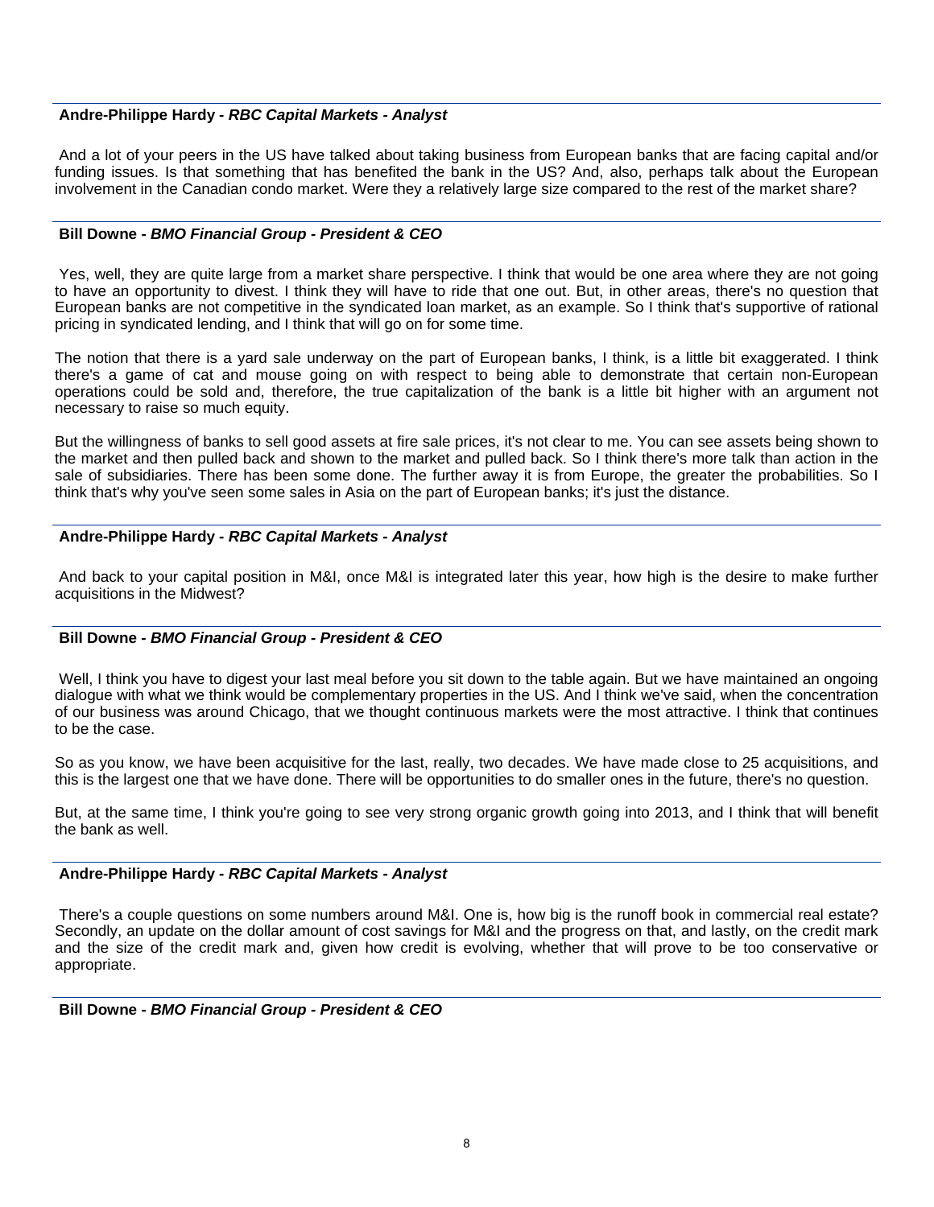## **Andre-Philippe Hardy -** *RBC Capital Markets - Analyst*

 And a lot of your peers in the US have talked about taking business from European banks that are facing capital and/or funding issues. Is that something that has benefited the bank in the US? And, also, perhaps talk about the European involvement in the Canadian condo market. Were they a relatively large size compared to the rest of the market share?

## **Bill Downe -** *BMO Financial Group - President & CEO*

 Yes, well, they are quite large from a market share perspective. I think that would be one area where they are not going to have an opportunity to divest. I think they will have to ride that one out. But, in other areas, there's no question that European banks are not competitive in the syndicated loan market, as an example. So I think that's supportive of rational pricing in syndicated lending, and I think that will go on for some time.

The notion that there is a yard sale underway on the part of European banks, I think, is a little bit exaggerated. I think there's a game of cat and mouse going on with respect to being able to demonstrate that certain non-European operations could be sold and, therefore, the true capitalization of the bank is a little bit higher with an argument not necessary to raise so much equity.

But the willingness of banks to sell good assets at fire sale prices, it's not clear to me. You can see assets being shown to the market and then pulled back and shown to the market and pulled back. So I think there's more talk than action in the sale of subsidiaries. There has been some done. The further away it is from Europe, the greater the probabilities. So I think that's why you've seen some sales in Asia on the part of European banks; it's just the distance.

# **Andre-Philippe Hardy -** *RBC Capital Markets - Analyst*

 And back to your capital position in M&I, once M&I is integrated later this year, how high is the desire to make further acquisitions in the Midwest?

# **Bill Downe -** *BMO Financial Group - President & CEO*

 Well, I think you have to digest your last meal before you sit down to the table again. But we have maintained an ongoing dialogue with what we think would be complementary properties in the US. And I think we've said, when the concentration of our business was around Chicago, that we thought continuous markets were the most attractive. I think that continues to be the case.

So as you know, we have been acquisitive for the last, really, two decades. We have made close to 25 acquisitions, and this is the largest one that we have done. There will be opportunities to do smaller ones in the future, there's no question.

But, at the same time, I think you're going to see very strong organic growth going into 2013, and I think that will benefit the bank as well.

## **Andre-Philippe Hardy -** *RBC Capital Markets - Analyst*

 There's a couple questions on some numbers around M&I. One is, how big is the runoff book in commercial real estate? Secondly, an update on the dollar amount of cost savings for M&I and the progress on that, and lastly, on the credit mark and the size of the credit mark and, given how credit is evolving, whether that will prove to be too conservative or appropriate.

## **Bill Downe -** *BMO Financial Group - President & CEO*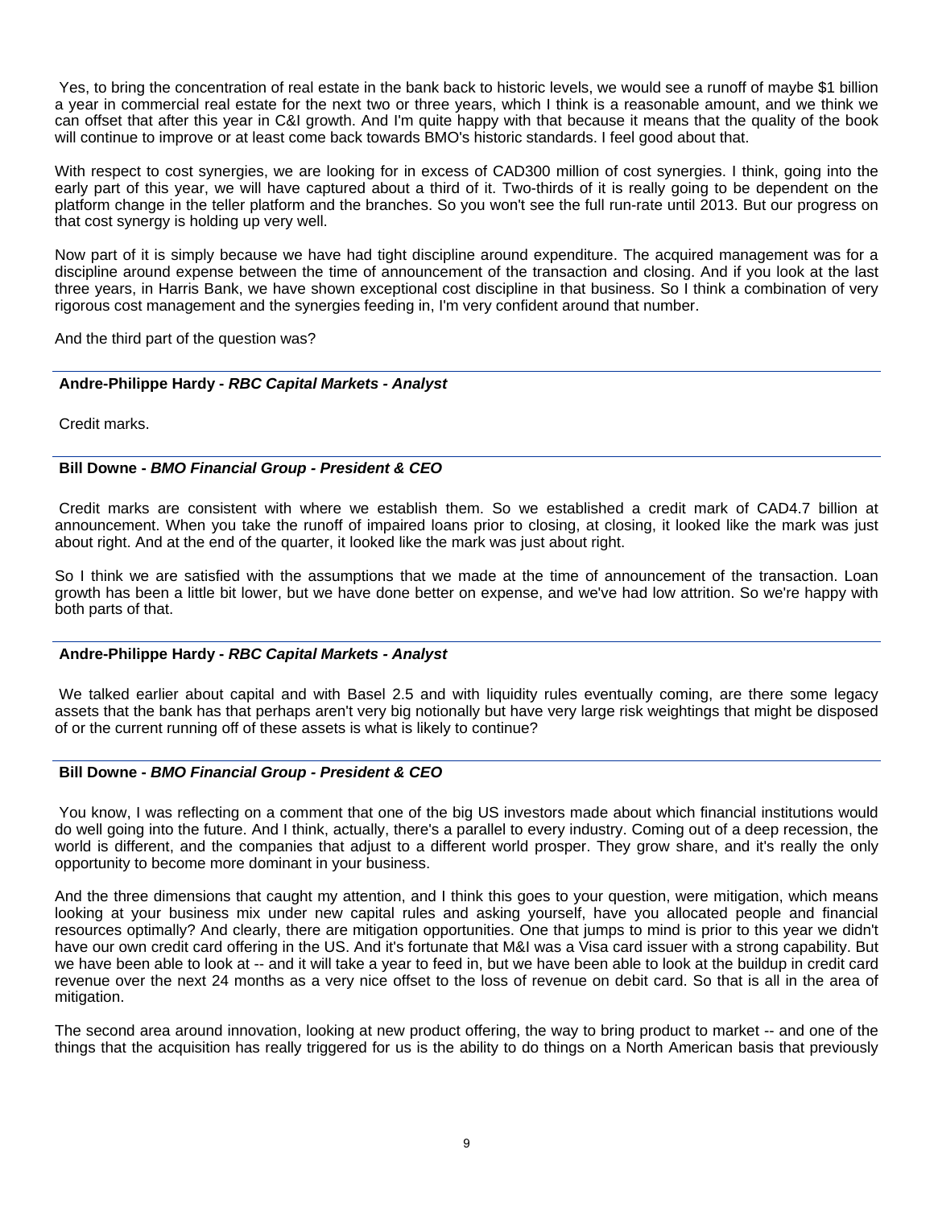Yes, to bring the concentration of real estate in the bank back to historic levels, we would see a runoff of maybe \$1 billion a year in commercial real estate for the next two or three years, which I think is a reasonable amount, and we think we can offset that after this year in C&I growth. And I'm quite happy with that because it means that the quality of the book will continue to improve or at least come back towards BMO's historic standards. I feel good about that.

With respect to cost synergies, we are looking for in excess of CAD300 million of cost synergies. I think, going into the early part of this year, we will have captured about a third of it. Two-thirds of it is really going to be dependent on the platform change in the teller platform and the branches. So you won't see the full run-rate until 2013. But our progress on that cost synergy is holding up very well.

Now part of it is simply because we have had tight discipline around expenditure. The acquired management was for a discipline around expense between the time of announcement of the transaction and closing. And if you look at the last three years, in Harris Bank, we have shown exceptional cost discipline in that business. So I think a combination of very rigorous cost management and the synergies feeding in, I'm very confident around that number.

And the third part of the question was?

# **Andre-Philippe Hardy -** *RBC Capital Markets - Analyst*

Credit marks.

# **Bill Downe -** *BMO Financial Group - President & CEO*

 Credit marks are consistent with where we establish them. So we established a credit mark of CAD4.7 billion at announcement. When you take the runoff of impaired loans prior to closing, at closing, it looked like the mark was just about right. And at the end of the quarter, it looked like the mark was just about right.

So I think we are satisfied with the assumptions that we made at the time of announcement of the transaction. Loan growth has been a little bit lower, but we have done better on expense, and we've had low attrition. So we're happy with both parts of that.

## **Andre-Philippe Hardy -** *RBC Capital Markets - Analyst*

 We talked earlier about capital and with Basel 2.5 and with liquidity rules eventually coming, are there some legacy assets that the bank has that perhaps aren't very big notionally but have very large risk weightings that might be disposed of or the current running off of these assets is what is likely to continue?

# **Bill Downe -** *BMO Financial Group - President & CEO*

 You know, I was reflecting on a comment that one of the big US investors made about which financial institutions would do well going into the future. And I think, actually, there's a parallel to every industry. Coming out of a deep recession, the world is different, and the companies that adjust to a different world prosper. They grow share, and it's really the only opportunity to become more dominant in your business.

And the three dimensions that caught my attention, and I think this goes to your question, were mitigation, which means looking at your business mix under new capital rules and asking yourself, have you allocated people and financial resources optimally? And clearly, there are mitigation opportunities. One that jumps to mind is prior to this year we didn't have our own credit card offering in the US. And it's fortunate that M&I was a Visa card issuer with a strong capability. But we have been able to look at -- and it will take a year to feed in, but we have been able to look at the buildup in credit card revenue over the next 24 months as a very nice offset to the loss of revenue on debit card. So that is all in the area of mitigation.

The second area around innovation, looking at new product offering, the way to bring product to market -- and one of the things that the acquisition has really triggered for us is the ability to do things on a North American basis that previously